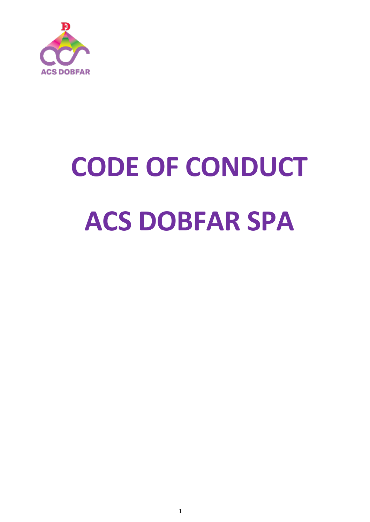

# **CODE OF CONDUCT ACS DOBFAR SPA**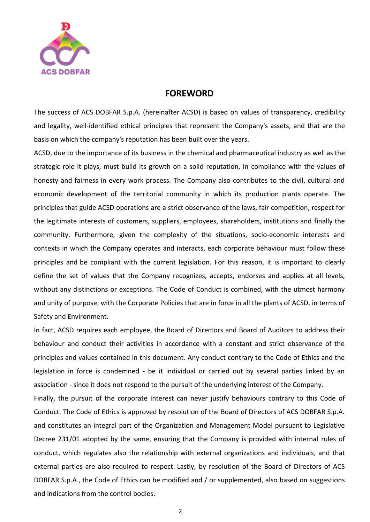

#### **FOREWORD**

The success of ACS DOBFAR S.p.A. (hereinafter ACSD) is based on values of transparency, credibility and legality, well-identified ethical principles that represent the Company's assets, and that are the basis on which the company's reputation has been built over the years.

ACSD, due to the importance of its business in the chemical and pharmaceutical industry as well as the strategic role it plays, must build its growth on a solid reputation, in compliance with the values of honesty and fairness in every work process. The Company also contributes to the civil, cultural and economic development of the territorial community in which its production plants operate. The principles that guide ACSD operations are a strict observance of the laws, fair competition, respect for the legitimate interests of customers, suppliers, employees, shareholders, institutions and finally the community. Furthermore, given the complexity of the situations, socio-economic interests and contexts in which the Company operates and interacts, each corporate behaviour must follow these principles and be compliant with the current legislation. For this reason, it is important to clearly define the set of values that the Company recognizes, accepts, endorses and applies at all levels, without any distinctions or exceptions. The Code of Conduct is combined, with the utmost harmony and unity of purpose, with the Corporate Policies that are in force in all the plants of ACSD, in terms of Safety and Environment.

In fact, ACSD requires each employee, the Board of Directors and Board of Auditors to address their behaviour and conduct their activities in accordance with a constant and strict observance of the principles and values contained in this document. Any conduct contrary to the Code of Ethics and the legislation in force is condemned - be it individual or carried out by several parties linked by an association - since it does not respond to the pursuit of the underlying interest of the Company.

Finally, the pursuit of the corporate interest can never justify behaviours contrary to this Code of Conduct. The Code of Ethics is approved by resolution of the Board of Directors of ACS DOBFAR S.p.A. and constitutes an integral part of the Organization and Management Model pursuant to Legislative Decree 231/01 adopted by the same, ensuring that the Company is provided with internal rules of conduct, which regulates also the relationship with external organizations and individuals, and that external parties are also required to respect. Lastly, by resolution of the Board of Directors of ACS DOBFAR S.p.A., the Code of Ethics can be modified and / or supplemented, also based on suggestions and indications from the control bodies.

2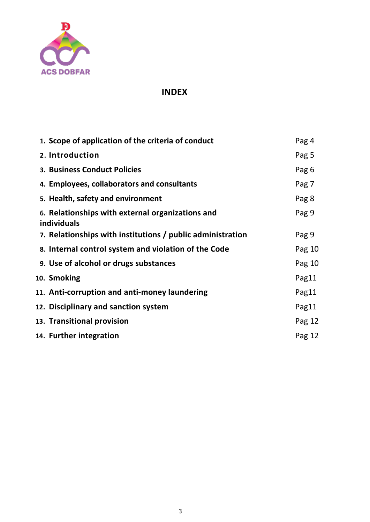

# **INDEX**

| 1. Scope of application of the criteria of conduct                     | Pag 4  |
|------------------------------------------------------------------------|--------|
| 2. Introduction                                                        | Pag 5  |
| 3. Business Conduct Policies                                           | Pag 6  |
| 4. Employees, collaborators and consultants                            | Pag 7  |
| 5. Health, safety and environment                                      | Pag 8  |
| 6. Relationships with external organizations and<br><b>individuals</b> | Pag 9  |
| 7. Relationships with institutions / public administration             | Pag 9  |
| 8. Internal control system and violation of the Code                   | Pag 10 |
| 9. Use of alcohol or drugs substances                                  | Pag 10 |
| 10. Smoking                                                            | Pag11  |
| 11. Anti-corruption and anti-money laundering                          | Pag11  |
| 12. Disciplinary and sanction system                                   | Pag11  |
| 13. Transitional provision                                             | Pag 12 |
| 14. Further integration                                                | Pag 12 |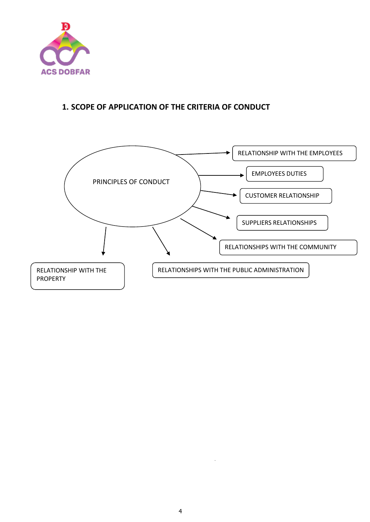

# **1. SCOPE OF APPLICATION OF THE CRITERIA OF CONDUCT**



**•**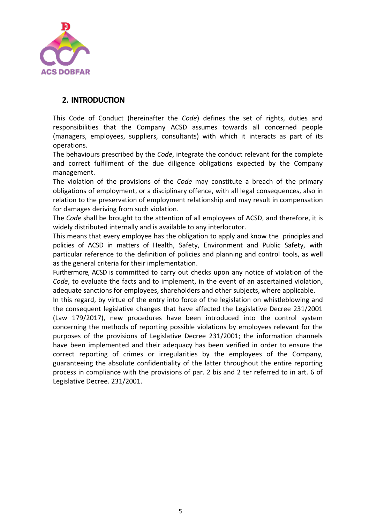

#### **2. INTRODUCTION**

This Code of Conduct (hereinafter the *Code*) defines the set of rights, duties and responsibilities that the Company ACSD assumes towards all concerned people (managers, employees, suppliers, consultants) with which it interacts as part of its operations.

The behaviours prescribed by the *Code*, integrate the conduct relevant for the complete and correct fulfilment of the due diligence obligations expected by the Company management.

The violation of the provisions of the *Code* may constitute a breach of the primary obligations of employment, or a disciplinary offence, with all legal consequences, also in relation to the preservation of employment relationship and may result in compensation for damages deriving from such violation.

The *Code* shall be brought to the attention of all employees of ACSD, and therefore, it is widely distributed internally and is available to any interlocutor.

This means that every employee has the obligation to apply and know the principles and policies of ACSD in matters of Health, Safety, Environment and Public Safety, with particular reference to the definition of policies and planning and control tools, as well as the general criteria for their implementation.

Furthermore, ACSD is committed to carry out checks upon any notice of violation of the *Code*, to evaluate the facts and to implement, in the event of an ascertained violation, adequate sanctions for employees, shareholders and other subjects, where applicable.

In this regard, by virtue of the entry into force of the legislation on whistleblowing and the consequent legislative changes that have affected the Legislative Decree 231/2001 (Law 179/2017), new procedures have been introduced into the control system concerning the methods of reporting possible violations by employees relevant for the purposes of the provisions of Legislative Decree 231/2001; the information channels have been implemented and their adequacy has been verified in order to ensure the correct reporting of crimes or irregularities by the employees of the Company, guaranteeing the absolute confidentiality of the latter throughout the entire reporting process in compliance with the provisions of par. 2 bis and 2 ter referred to in art. 6 of Legislative Decree. 231/2001.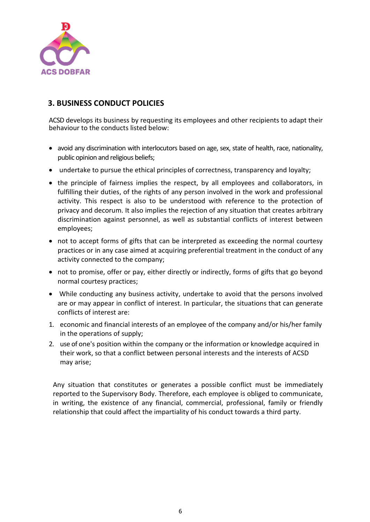

# **3. BUSINESS CONDUCT POLICIES**

ACSD develops its business by requesting its employees and other recipients to adapt their behaviour to the conducts listed below:

- avoid any discrimination with interlocutors based on age, sex, state of health, race, nationality, public opinion and religious beliefs;
- undertake to pursue the ethical principles of correctness, transparency and loyalty;
- the principle of fairness implies the respect, by all employees and collaborators, in fulfilling their duties, of the rights of any person involved in the work and professional activity. This respect is also to be understood with reference to the protection of privacy and decorum. It also implies the rejection of any situation that creates arbitrary discrimination against personnel, as well as substantial conflicts of interest between employees;
- not to accept forms of gifts that can be interpreted as exceeding the normal courtesy practices or in any case aimed at acquiring preferential treatment in the conduct of any activity connected to the company;
- not to promise, offer or pay, either directly or indirectly, forms of gifts that go beyond normal courtesy practices;
- While conducting any business activity, undertake to avoid that the persons involved are or may appear in conflict of interest. In particular, the situations that can generate conflicts of interest are:
- 1. economic and financial interests of an employee of the company and/or his/her family in the operations of supply;
- 2. use of one's position within the company or the information or knowledge acquired in their work, so that a conflict between personal interests and the interests of ACSD may arise;

Any situation that constitutes or generates a possible conflict must be immediately reported to the Supervisory Body. Therefore, each employee is obliged to communicate, in writing, the existence of any financial, commercial, professional, family or friendly relationship that could affect the impartiality of his conduct towards a third party.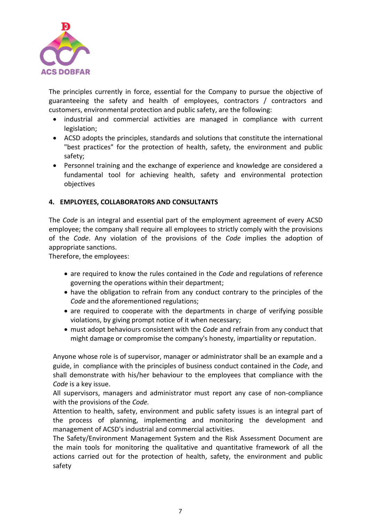

The principles currently in force, essential for the Company to pursue the objective of guaranteeing the safety and health of employees, contractors / contractors and customers, environmental protection and public safety, are the following:

- industrial and commercial activities are managed in compliance with current legislation;
- ACSD adopts the principles, standards and solutions that constitute the international "best practices" for the protection of health, safety, the environment and public safety;
- Personnel training and the exchange of experience and knowledge are considered a fundamental tool for achieving health, safety and environmental protection objectives

#### **4. EMPLOYEES, COLLABORATORS AND CONSULTANTS**

The *Code* is an integral and essential part of the employment agreement of every ACSD employee; the company shall require all employees to strictly comply with the provisions of the *Code*. Any violation of the provisions of the *Code* implies the adoption of appropriate sanctions.

Therefore, the employees:

- are required to know the rules contained in the *Code* and regulations of reference governing the operations within their department;
- have the obligation to refrain from any conduct contrary to the principles of the *Code* and the aforementioned regulations;
- are required to cooperate with the departments in charge of verifying possible violations, by giving prompt notice of it when necessary;
- must adopt behaviours consistent with the *Code* and refrain from any conduct that might damage or compromise the company's honesty, impartiality or reputation.

Anyone whose role is of supervisor, manager or administrator shall be an example and a guide, in compliance with the principles of business conduct contained in the *Code*, and shall demonstrate with his/her behaviour to the employees that compliance with the *Code* is a key issue.

All supervisors, managers and administrator must report any case of non-compliance with the provisions of the *Code.*

Attention to health, safety, environment and public safety issues is an integral part of the process of planning, implementing and monitoring the development and management of ACSD's industrial and commercial activities.

The Safety/Environment Management System and the Risk Assessment Document are the main tools for monitoring the qualitative and quantitative framework of all the actions carried out for the protection of health, safety, the environment and public safety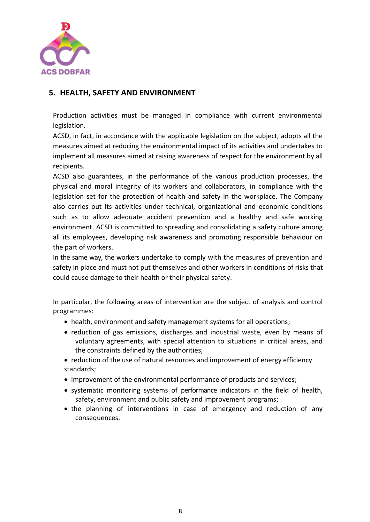

#### **5. HEALTH, SAFETY AND ENVIRONMENT**

Production activities must be managed in compliance with current environmental legislation.

ACSD, in fact, in accordance with the applicable legislation on the subject, adopts all the measures aimed at reducing the environmental impact of its activities and undertakes to implement all measures aimed at raising awareness of respect for the environment by all recipients.

ACSD also guarantees, in the performance of the various production processes, the physical and moral integrity of its workers and collaborators, in compliance with the legislation set for the protection of health and safety in the workplace. The Company also carries out its activities under technical, organizational and economic conditions such as to allow adequate accident prevention and a healthy and safe working environment. ACSD is committed to spreading and consolidating a safety culture among all its employees, developing risk awareness and promoting responsible behaviour on the part of workers.

In the same way, the workers undertake to comply with the measures of prevention and safety in place and must not put themselves and other workers in conditions of risks that could cause damage to their health or their physical safety.

In particular, the following areas of intervention are the subject of analysis and control programmes:

- health, environment and safety management systems for all operations;
- reduction of gas emissions, discharges and industrial waste, even by means of voluntary agreements, with special attention to situations in critical areas, and the constraints defined by the authorities;
- reduction of the use of natural resources and improvement of energy efficiency standards;
- improvement of the environmental performance of products and services;
- systematic monitoring systems of performance indicators in the field of health, safety, environment and public safety and improvement programs;
- the planning of interventions in case of emergency and reduction of any consequences.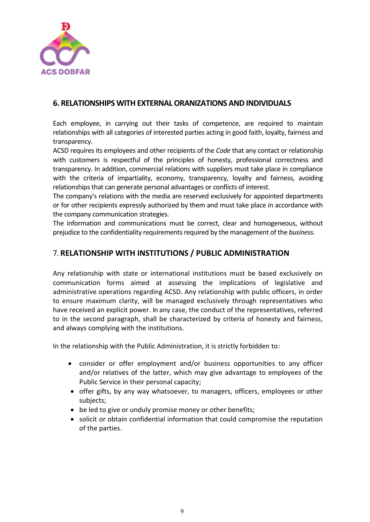

#### **6. RELATIONSHIPS WITH EXTERNALORANIZATIONS AND INDIVIDUALS**

Each employee, in carrying out their tasks of competence, are required to maintain relationships with all categories of interested parties acting in good faith, loyalty, fairness and transparency.

ACSD requires its employees and other recipients of the *Code* that any contact or relationship with customers is respectful of the principles of honesty, professional correctness and transparency. In addition, commercial relations with suppliers must take place in compliance with the criteria of impartiality, economy, transparency, loyalty and fairness, avoiding relationships that can generate personal advantages or conflicts of interest.

The company's relations with the media are reserved exclusively for appointed departments or for other recipients expressly authorized by them and must take place in accordance with the company communication strategies.

The information and communications must be correct, clear and homogeneous, without prejudice to the confidentiality requirements required by the management of the *business.*

# 7. **RELATIONSHIP WITH INSTITUTIONS / PUBLIC ADMINISTRATION**

Any relationship with state or international institutions must be based exclusively on communication forms aimed at assessing the implications of legislative and administrative operations regarding ACSD. Any relationship with public officers, in order to ensure maximum clarity, will be managed exclusively through representatives who have received an explicit power. In any case, the conduct of the representatives, referred to in the second paragraph, shall be characterized by criteria of honesty and fairness, and always complying with the institutions.

In the relationship with the Public Administration, it is strictly forbidden to:

- consider or offer employment and/or business opportunities to any officer and/or relatives of the latter, which may give advantage to employees of the Public Service in their personal capacity;
- offer gifts, by any way whatsoever, to managers, officers, employees or other subjects;
- be led to give or unduly promise money or other benefits;
- solicit or obtain confidential information that could compromise the reputation of the parties.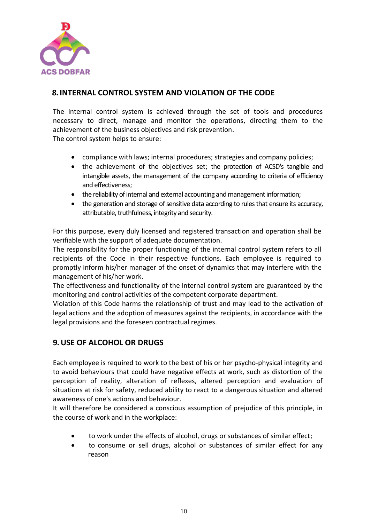

# **8. INTERNAL CONTROL SYSTEM AND VIOLATION OF THE CODE**

The internal control system is achieved through the set of tools and procedures necessary to direct, manage and monitor the operations, directing them to the achievement of the business objectives and risk prevention. The control system helps to ensure:

- compliance with laws; internal procedures; strategies and company policies;
- the achievement of the objectives set; the protection of ACSD's tangible and intangible assets, the management of the company according to criteria of efficiency and effectiveness;
- the reliability of internal and external accounting and management information;
- the generation and storage of sensitive data according to rules that ensure its accuracy, attributable, truthfulness, integrity and security.

For this purpose, every duly licensed and registered transaction and operation shall be verifiable with the support of adequate documentation.

The responsibility for the proper functioning of the internal control system refers to all recipients of the Code in their respective functions. Each employee is required to promptly inform his/her manager of the onset of dynamics that may interfere with the management of his/her work.

The effectiveness and functionality of the internal control system are guaranteed by the monitoring and control activities of the competent corporate department.

Violation of this Code harms the relationship of trust and may lead to the activation of legal actions and the adoption of measures against the recipients, in accordance with the legal provisions and the foreseen contractual regimes.

#### **9. USE OF ALCOHOL OR DRUGS**

Each employee is required to work to the best of his or her psycho-physical integrity and to avoid behaviours that could have negative effects at work, such as distortion of the perception of reality, alteration of reflexes, altered perception and evaluation of situations at risk for safety, reduced ability to react to a dangerous situation and altered awareness of one's actions and behaviour.

It will therefore be considered a conscious assumption of prejudice of this principle, in the course of work and in the workplace:

- to work under the effects of alcohol, drugs or substances of similar effect;
- to consume or sell drugs, alcohol or substances of similar effect for any reason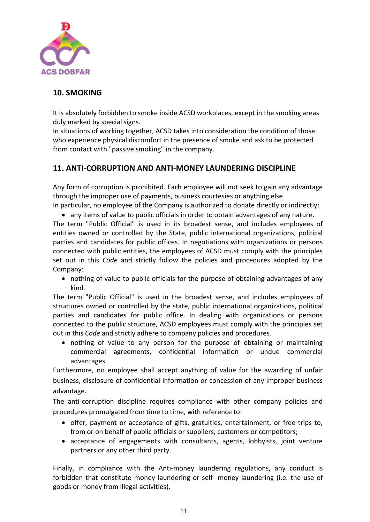

# **10. SMOKING**

It is absolutely forbidden to smoke inside ACSD workplaces, except in the smoking areas duly marked by special signs.

In situations of working together, ACSD takes into consideration the condition of those who experience physical discomfort in the presence of smoke and ask to be protected from contact with "passive smoking" in the company.

# **11. ANTI-CORRUPTION AND ANTI-MONEY LAUNDERING DISCIPLINE**

Any form of corruption is prohibited. Each employee will not seek to gain any advantage through the improper use of payments, business courtesies or anything else.

In particular, no employee of the Company is authorized to donate directly or indirectly:

• any items of value to public officials in order to obtain advantages of any nature. The term "Public Official" is used in its broadest sense, and includes employees of entities owned or controlled by the State, public international organizations, political parties and candidates for public offices. In negotiations with organizations or persons connected with public entities, the employees of ACSD must comply with the principles set out in this *Code* and strictly follow the policies and procedures adopted by the Company:

• nothing of value to public officials for the purpose of obtaining advantages of any kind.

The term "Public Official" is used in the broadest sense, and includes employees of structures owned or controlled by the state, public international organizations, political parties and candidates for public office. In dealing with organizations or persons connected to the public structure, ACSD employees must comply with the principles set out in this *Code* and strictly adhere to company policies and procedures.

• nothing of value to any person for the purpose of obtaining or maintaining commercial agreements, confidential information or undue commercial advantages.

Furthermore, no employee shall accept anything of value for the awarding of unfair business, disclosure of confidential information or concession of any improper business advantage.

The anti-corruption discipline requires compliance with other company policies and procedures promulgated from time to time, with reference to:

- offer, payment or acceptance of gifts, gratuities, entertainment, or free trips to, from or on behalf of public officials or suppliers, customers or competitors;
- acceptance of engagements with consultants, agents, lobbyists, joint venture partners or any other third party.

Finally, in compliance with the Anti-money laundering regulations, any conduct is forbidden that constitute money laundering or self- money laundering (i.e. the use of goods or money from illegal activities).